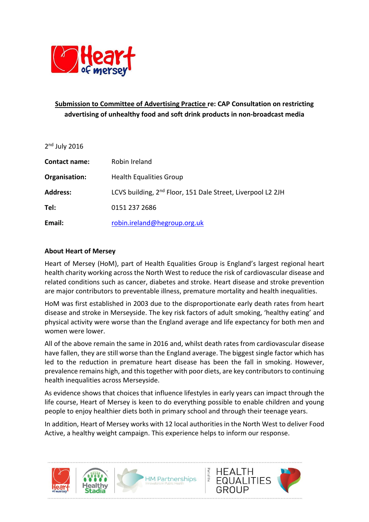

# **Submission to Committee of Advertising Practice re: CAP Consultation on restricting advertising of unhealthy food and soft drink products in non-broadcast media**

| $2nd$ July 2016 |                                                                         |
|-----------------|-------------------------------------------------------------------------|
| Contact name:   | Robin Ireland                                                           |
| Organisation:   | <b>Health Equalities Group</b>                                          |
| <b>Address:</b> | LCVS building, 2 <sup>nd</sup> Floor, 151 Dale Street, Liverpool L2 2JH |
| Tel:            | 0151 237 2686                                                           |
| Email:          | robin.ireland@hegroup.org.uk                                            |

#### **About Heart of Mersey**

Heart of Mersey (HoM), part of Health Equalities Group is England's largest regional heart health charity working across the North West to reduce the risk of cardiovascular disease and related conditions such as cancer, diabetes and stroke. Heart disease and stroke prevention are major contributors to preventable illness, premature mortality and health inequalities.

HoM was first established in 2003 due to the disproportionate early death rates from heart disease and stroke in Merseyside. The key risk factors of adult smoking, 'healthy eating' and physical activity were worse than the England average and life expectancy for both men and women were lower.

All of the above remain the same in 2016 and, whilst death rates from cardiovascular disease have fallen, they are still worse than the England average. The biggest single factor which has led to the reduction in premature heart disease has been the fall in smoking. However, prevalence remains high, and this together with poor diets, are key contributors to continuing health inequalities across Merseyside.

As evidence shows that choices that influence lifestyles in early years can impact through the life course, Heart of Mersey is keen to do everything possible to enable children and young people to enjoy healthier diets both in primary school and through their teenage years.

In addition, Heart of Mersey works with 12 local authorities in the North West to deliver Food Active, a healthy weight campaign. This experience helps to inform our response.

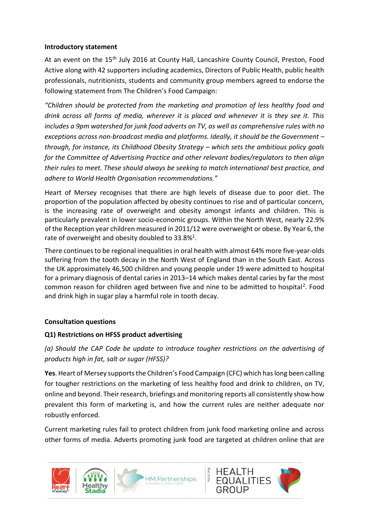#### **Introductory statement**

At an event on the 15<sup>th</sup> July 2016 at County Hall, Lancashire County Council, Preston, Food Active along with 42 supporters including academics, Directors of Public Health, public health professionals, nutritionists, students and community group members agreed to endorse the following statement from The Children's Food Campaign:

*"Children should be protected from the marketing and promotion of less healthy food and drink across all forms of media, wherever it is placed and whenever it is they see it. This includes a 9pm watershed for junk food adverts on TV, as well as comprehensive rules with no exceptions across non-broadcast media and platforms. Ideally, it should be the Government – through, for instance, its Childhood Obesity Strategy – which sets the ambitious policy goals for the Committee of Advertising Practice and other relevant bodies/regulators to then align their rules to meet. These should always be seeking to match international best practice, and adhere to World Health Organisation recommendations."*

Heart of Mersey recognises that there are high levels of disease due to poor diet. The proportion of the population affected by obesity continues to rise and of particular concern, is the increasing rate of overweight and obesity amongst infants and children. This is particularly prevalent in lower socio-economic groups. Within the North West, nearly 22.9% of the Reception year children measured in 2011/12 were overweight or obese. By Year 6, the rate of overweight and obesity doubled to 33.8%<sup>1</sup>.

There continues to be regional inequalities in oral health with almost 64% more five-year-olds suffering from the tooth decay in the North West of England than in the South East. Across the UK approximately 46,500 children and young people under 19 were admitted to hospital for a primary diagnosis of dental caries in 2013–14 which makes dental caries by far the most common reason for children aged between five and nine to be admitted to hospital<sup>2</sup>. Food and drink high in sugar play a harmful role in tooth decay.

### **Consultation questions**

### **Q1) Restrictions on HFSS product advertising**

*(a) Should the CAP Code be update to introduce tougher restrictions on the advertising of products high in fat, salt or sugar (HFSS)?*

**Yes**. Heart of Mersey supports the Children's Food Campaign (CFC) which has long been calling for tougher restrictions on the marketing of less healthy food and drink to children, on TV, online and beyond. Their research, briefings and monitoring reports all consistently show how prevalent this form of marketing is, and how the current rules are neither adequate nor robustly enforced.

Current marketing rules fail to protect children from junk food marketing online and across other forms of media. Adverts promoting junk food are targeted at children online that are

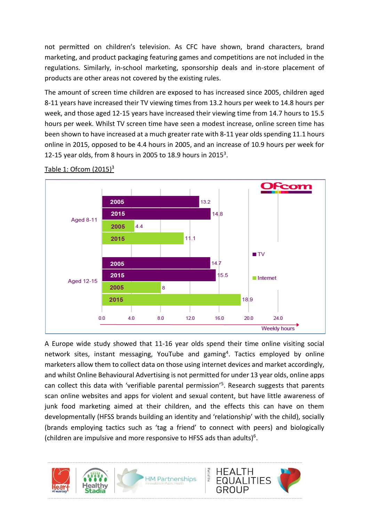not permitted on children's television. As CFC have shown, brand characters, brand marketing, and product packaging featuring games and competitions are not included in the regulations. Similarly, in-school marketing, sponsorship deals and in-store placement of products are other areas not covered by the existing rules.

The amount of screen time children are exposed to has increased since 2005, children aged 8-11 years have increased their TV viewing times from 13.2 hours per week to 14.8 hours per week, and those aged 12-15 years have increased their viewing time from 14.7 hours to 15.5 hours per week. Whilst TV screen time have seen a modest increase, online screen time has been shown to have increased at a much greater rate with 8-11 year olds spending 11.1 hours online in 2015, opposed to be 4.4 hours in 2005, and an increase of 10.9 hours per week for 12-15 year olds, from 8 hours in 2005 to 18.9 hours in 2015<sup>3</sup>.



#### Table 1: Ofcom  $(2015)^3$

A Europe wide study showed that 11-16 year olds spend their time online visiting social network sites, instant messaging, YouTube and gaming<sup>4</sup>. Tactics employed by online marketers allow them to collect data on those using internet devices and market accordingly, and whilst Online Behavioural Advertising is not permitted for under 13 year olds, online apps can collect this data with 'verifiable parental permission'<sup>5</sup>. Research suggests that parents scan online websites and apps for violent and sexual content, but have little awareness of junk food marketing aimed at their children, and the effects this can have on them developmentally (HFSS brands building an identity and 'relationship' with the child), socially (brands employing tactics such as 'tag a friend' to connect with peers) and biologically (children are impulsive and more responsive to HFSS ads than adults)<sup>6</sup>.

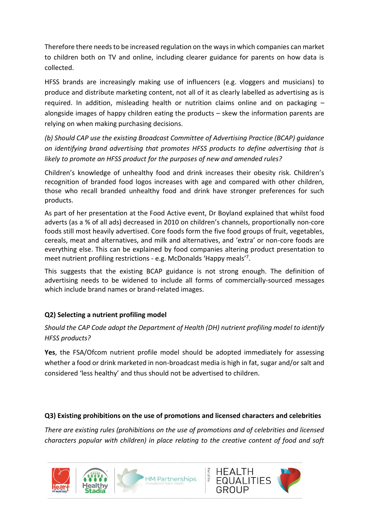Therefore there needs to be increased regulation on the ways in which companies can market to children both on TV and online, including clearer guidance for parents on how data is collected.

HFSS brands are increasingly making use of influencers (e.g. vloggers and musicians) to produce and distribute marketing content, not all of it as clearly labelled as advertising as is required. In addition, misleading health or nutrition claims online and on packaging – alongside images of happy children eating the products – skew the information parents are relying on when making purchasing decisions.

*(b) Should CAP use the existing Broadcast Committee of Advertising Practice (BCAP) guidance on identifying brand advertising that promotes HFSS products to define advertising that is likely to promote an HFSS product for the purposes of new and amended rules?*

Children's knowledge of unhealthy food and drink increases their obesity risk. Children's recognition of branded food logos increases with age and compared with other children, those who recall branded unhealthy food and drink have stronger preferences for such products.

As part of her presentation at the Food Active event, Dr Boyland explained that whilst food adverts (as a % of all ads) decreased in 2010 on children's channels, proportionally non-core foods still most heavily advertised. Core foods form the five food groups of fruit, vegetables, cereals, meat and alternatives, and milk and alternatives, and 'extra' or non-core foods are everything else. This can be explained by food companies altering product presentation to meet nutrient profiling restrictions - e.g. McDonalds 'Happy meals'7.

This suggests that the existing BCAP guidance is not strong enough. The definition of advertising needs to be widened to include all forms of commercially-sourced messages which include brand names or brand-related images.

# **Q2) Selecting a nutrient profiling model**

*Should the CAP Code adopt the Department of Health (DH) nutrient profiling model to identify HFSS products?*

**Yes**, the FSA/Ofcom nutrient profile model should be adopted immediately for assessing whether a food or drink marketed in non-broadcast media is high in fat, sugar and/or salt and considered 'less healthy' and thus should not be advertised to children.

### **Q3) Existing prohibitions on the use of promotions and licensed characters and celebrities**

*There are existing rules (prohibitions on the use of promotions and of celebrities and licensed characters popular with children) in place relating to the creative content of food and soft* 

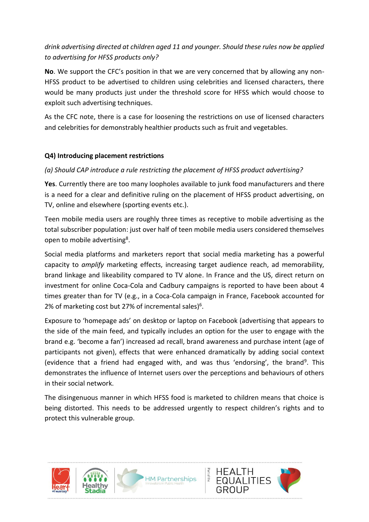# *drink advertising directed at children aged 11 and younger. Should these rules now be applied to advertising for HFSS products only?*

**No**. We support the CFC's position in that we are very concerned that by allowing any non-HFSS product to be advertised to children using celebrities and licensed characters, there would be many products just under the threshold score for HFSS which would choose to exploit such advertising techniques.

As the CFC note, there is a case for loosening the restrictions on use of licensed characters and celebrities for demonstrably healthier products such as fruit and vegetables.

### **Q4) Introducing placement restrictions**

## *(a) Should CAP introduce a rule restricting the placement of HFSS product advertising?*

**Yes**. Currently there are too many loopholes available to junk food manufacturers and there is a need for a clear and definitive ruling on the placement of HFSS product advertising, on TV, online and elsewhere (sporting events etc.).

Teen mobile media users are roughly three times as receptive to mobile advertising as the total subscriber population: just over half of teen mobile media users considered themselves open to mobile advertising<sup>8</sup>.

Social media platforms and marketers report that social media marketing has a powerful capacity to *amplify* marketing effects, increasing target audience reach, ad memorability, brand linkage and likeability compared to TV alone. In France and the US, direct return on investment for online Coca-Cola and Cadbury campaigns is reported to have been about 4 times greater than for TV (e.g., in a Coca-Cola campaign in France, Facebook accounted for 2% of marketing cost but 27% of incremental sales)<sup>6</sup>.

Exposure to 'homepage ads' on desktop or laptop on Facebook (advertising that appears to the side of the main feed, and typically includes an option for the user to engage with the brand e.g. 'become a fan') increased ad recall, brand awareness and purchase intent (age of participants not given), effects that were enhanced dramatically by adding social context (evidence that a friend had engaged with, and was thus 'endorsing', the brand<sup>9</sup>. This demonstrates the influence of Internet users over the perceptions and behaviours of others in their social network.

The disingenuous manner in which HFSS food is marketed to children means that choice is being distorted. This needs to be addressed urgently to respect children's rights and to protect this vulnerable group.

of the





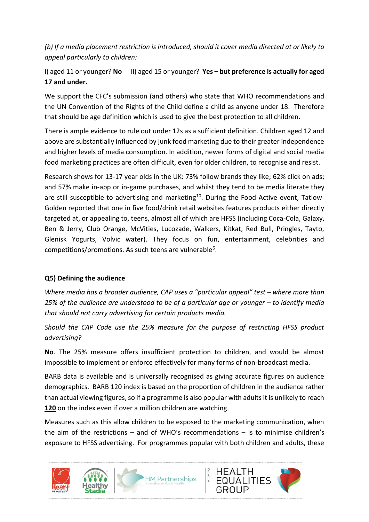*(b) If a media placement restriction is introduced, should it cover media directed at or likely to appeal particularly to children:*

# i) aged 11 or younger? **No** ii) aged 15 or younger? **Yes – but preference is actually for aged 17 and under.**

We support the CFC's submission (and others) who state that WHO recommendations and the UN Convention of the Rights of the Child define a child as anyone under 18. Therefore that should be age definition which is used to give the best protection to all children.

There is ample evidence to rule out under 12s as a sufficient definition. Children aged 12 and above are substantially influenced by junk food marketing due to their greater independence and higher levels of media consumption. In addition, newer forms of digital and social media food marketing practices are often difficult, even for older children, to recognise and resist.

Research shows for 13-17 year olds in the UK: 73% follow brands they like; 62% click on ads; and 57% make in-app or in-game purchases, and whilst they tend to be media literate they are still susceptible to advertising and marketing<sup>10</sup>. During the Food Active event, Tatlow-Golden reported that one in five food/drink retail websites features products either directly targeted at, or appealing to, teens, almost all of which are HFSS (including Coca-Cola, Galaxy, Ben & Jerry, Club Orange, McVities, Lucozade, Walkers, Kitkat, Red Bull, Pringles, Tayto, Glenisk Yogurts, Volvic water). They focus on fun, entertainment, celebrities and competitions/promotions. As such teens are vulnerable<sup>6</sup>.

### **Q5) Defining the audience**

*Where media has a broader audience, CAP uses a "particular appeal" test – where more than*  25% of the audience are understood to be of a particular age or younger – to identify media *that should not carry advertising for certain products media.*

*Should the CAP Code use the 25% measure for the purpose of restricting HFSS product advertising?*

**No**. The 25% measure offers insufficient protection to children, and would be almost impossible to implement or enforce effectively for many forms of non-broadcast media.

BARB data is available and is universally recognised as giving accurate figures on audience demographics. BARB 120 index is based on the proportion of children in the audience rather than actual viewing figures, so if a programme is also popular with adults it is unlikely to reach **120** on the index even if over a million children are watching.

Measures such as this allow children to be exposed to the marketing communication, when the aim of the restrictions – and of WHO's recommendations – is to minimise children's exposure to HFSS advertising. For programmes popular with both children and adults, these

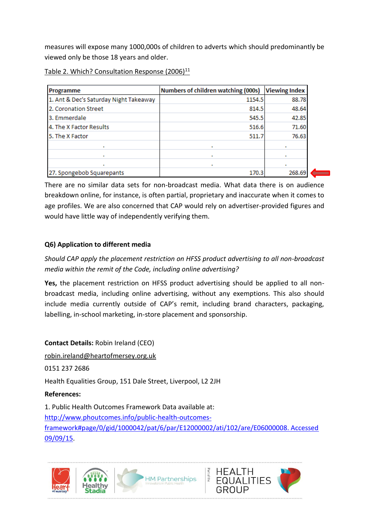measures will expose many 1000,000s of children to adverts which should predominantly be viewed only be those 18 years and older.

| Table 2. Which? Consultation Response (2006) $^{11}$ |  |
|------------------------------------------------------|--|
|------------------------------------------------------|--|

| Programme                              | Numbers of children watching (000s) | <b>Viewing Index</b> |
|----------------------------------------|-------------------------------------|----------------------|
| 1. Ant & Dec's Saturday Night Takeaway | 1154.5                              | 88.78                |
| 2. Coronation Street                   | 814.5                               | 48.64                |
| 3. Emmerdale                           | 545.5                               | 42.85                |
| 4. The X Factor Results                | 516.6                               | 71.60                |
| 5. The X Factor                        | 511.7                               | 76.63                |
|                                        |                                     |                      |
|                                        | ٠                                   |                      |
|                                        |                                     |                      |
| 27. Spongebob Squarepants              | 170.3                               | 268.69               |

There are no similar data sets for non-broadcast media. What data there is on audience breakdown online, for instance, is often partial, proprietary and inaccurate when it comes to age profiles. We are also concerned that CAP would rely on advertiser-provided figures and would have little way of independently verifying them.

## **Q6) Application to different media**

*Should CAP apply the placement restriction on HFSS product advertising to all non-broadcast media within the remit of the Code, including online advertising?*

**Yes,** the placement restriction on HFSS product advertising should be applied to all nonbroadcast media, including online advertising, without any exemptions. This also should include media currently outside of CAP's remit, including brand characters, packaging, labelling, in-school marketing, in-store placement and sponsorship.

**Contact Details:** Robin Ireland (CEO) [robin.ireland@heartofmersey.org.uk](mailto:robin.ireland@heartofmersey.org.uk)

0151 237 2686

Health Equalities Group, 151 Dale Street, Liverpool, L2 2JH

### **References:**

1. Public Health Outcomes Framework Data available at: [http://www.phoutcomes.info/public-health-outcomes](http://www.phoutcomes.info/public-health-outcomes-framework#page/0/gid/1000042/pat/6/par/E12000002/ati/102/are/E06000008. Accessed 09/09/15)[framework#page/0/gid/1000042/pat/6/par/E12000002/ati/102/are/E06000008. Accessed](http://www.phoutcomes.info/public-health-outcomes-framework#page/0/gid/1000042/pat/6/par/E12000002/ati/102/are/E06000008. Accessed 09/09/15)  [09/09/15.](http://www.phoutcomes.info/public-health-outcomes-framework#page/0/gid/1000042/pat/6/par/E12000002/ati/102/are/E06000008. Accessed 09/09/15)